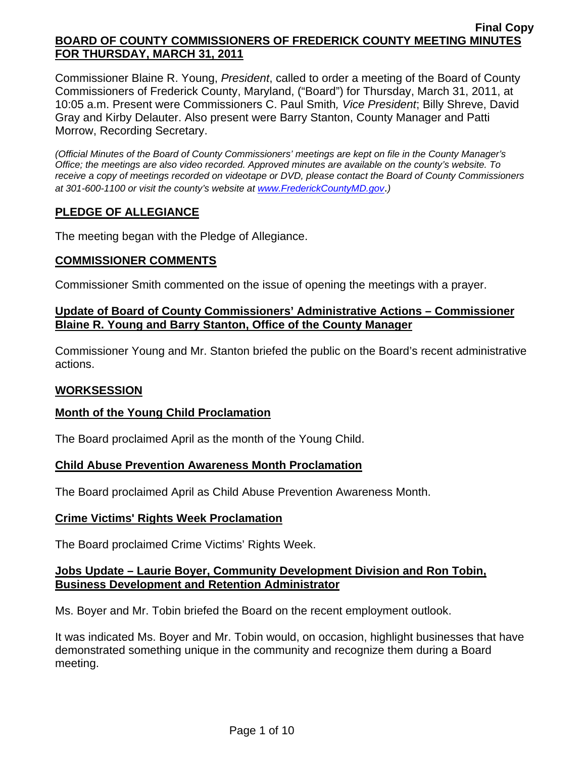Commissioner Blaine R. Young, *President*, called to order a meeting of the Board of County Commissioners of Frederick County, Maryland, ("Board") for Thursday, March 31, 2011, at 10:05 a.m. Present were Commissioners C. Paul Smith*, Vice President*; Billy Shreve, David Gray and Kirby Delauter. Also present were Barry Stanton, County Manager and Patti Morrow, Recording Secretary.

*(Official Minutes of the Board of County Commissioners' meetings are kept on file in the County Manager's Office; the meetings are also video recorded. Approved minutes are available on the county's website. To receive a copy of meetings recorded on videotape or DVD, please contact the Board of County Commissioners at 301-600-1100 or visit the county's website at [www.FrederickCountyMD.gov](http://www.frederickcountymd.gov/)*.*)* 

# **PLEDGE OF ALLEGIANCE**

The meeting began with the Pledge of Allegiance.

## **COMMISSIONER COMMENTS**

Commissioner Smith commented on the issue of opening the meetings with a prayer.

## **Update of Board of County Commissioners' Administrative Actions – Commissioner Blaine R. Young and Barry Stanton, Office of the County Manager**

Commissioner Young and Mr. Stanton briefed the public on the Board's recent administrative actions.

## **WORKSESSION**

## **Month of the Young Child Proclamation**

The Board proclaimed April as the month of the Young Child.

## **Child Abuse Prevention Awareness Month Proclamation**

The Board proclaimed April as Child Abuse Prevention Awareness Month.

## **Crime Victims' Rights Week Proclamation**

The Board proclaimed Crime Victims' Rights Week.

## **Jobs Update – Laurie Boyer, Community Development Division and Ron Tobin, Business Development and Retention Administrator**

Ms. Boyer and Mr. Tobin briefed the Board on the recent employment outlook.

It was indicated Ms. Boyer and Mr. Tobin would, on occasion, highlight businesses that have demonstrated something unique in the community and recognize them during a Board meeting.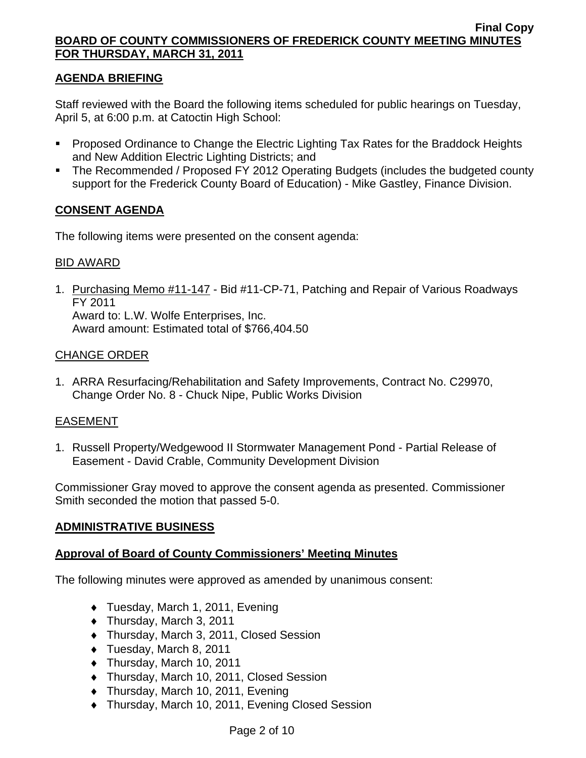# **AGENDA BRIEFING**

Staff reviewed with the Board the following items scheduled for public hearings on Tuesday, April 5, at 6:00 p.m. at Catoctin High School:

- **Proposed Ordinance to Change the Electric Lighting Tax Rates for the Braddock Heights** and New Addition Electric Lighting Districts; and
- The Recommended / Proposed FY 2012 Operating Budgets (includes the budgeted county support for the Frederick County Board of Education) - Mike Gastley, Finance Division.

## **CONSENT AGENDA**

The following items were presented on the consent agenda:

## BID AWARD

1. Purchasing Memo #11-147 - Bid #11-CP-71, Patching and Repair of Various Roadways FY 2011

Award to: L.W. Wolfe Enterprises, Inc. Award amount: Estimated total of \$766,404.50

## CHANGE ORDER

1. ARRA Resurfacing/Rehabilitation and Safety Improvements, Contract No. C29970, Change Order No. 8 - Chuck Nipe, Public Works Division

# EASEMENT

1. Russell Property/Wedgewood II Stormwater Management Pond - Partial Release of Easement - David Crable, Community Development Division

Commissioner Gray moved to approve the consent agenda as presented. Commissioner Smith seconded the motion that passed 5-0.

## **ADMINISTRATIVE BUSINESS**

## **Approval of Board of County Commissioners' Meeting Minutes**

The following minutes were approved as amended by unanimous consent:

- ♦ Tuesday, March 1, 2011, Evening
- ♦ Thursday, March 3, 2011
- ♦ Thursday, March 3, 2011, Closed Session
- ♦ Tuesday, March 8, 2011
- ♦ Thursday, March 10, 2011
- ♦ Thursday, March 10, 2011, Closed Session
- ♦ Thursday, March 10, 2011, Evening
- ♦ Thursday, March 10, 2011, Evening Closed Session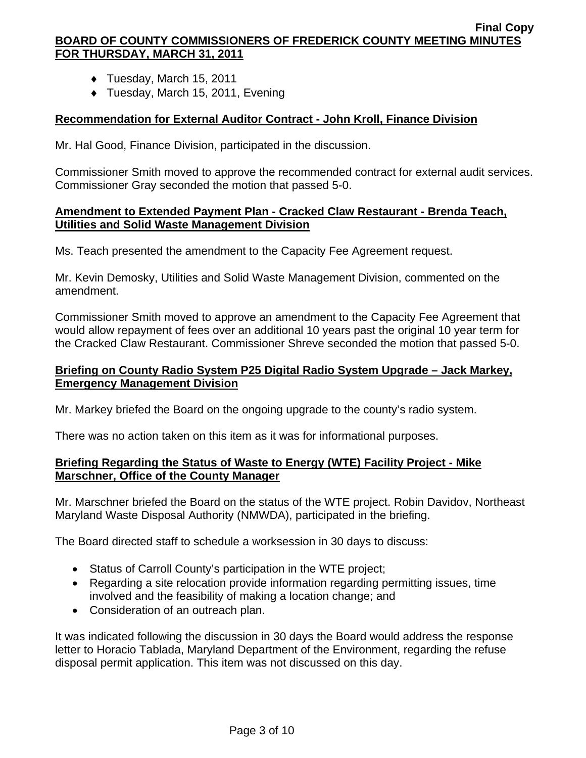- ♦ Tuesday, March 15, 2011
- ♦ Tuesday, March 15, 2011, Evening

### **Recommendation for External Auditor Contract - John Kroll, Finance Division**

Mr. Hal Good, Finance Division, participated in the discussion.

Commissioner Smith moved to approve the recommended contract for external audit services. Commissioner Gray seconded the motion that passed 5-0.

#### **Amendment to Extended Payment Plan - Cracked Claw Restaurant - Brenda Teach, Utilities and Solid Waste Management Division**

Ms. Teach presented the amendment to the Capacity Fee Agreement request.

Mr. Kevin Demosky, Utilities and Solid Waste Management Division, commented on the amendment.

Commissioner Smith moved to approve an amendment to the Capacity Fee Agreement that would allow repayment of fees over an additional 10 years past the original 10 year term for the Cracked Claw Restaurant. Commissioner Shreve seconded the motion that passed 5-0.

### **Briefing on County Radio System P25 Digital Radio System Upgrade – Jack Markey, Emergency Management Division**

Mr. Markey briefed the Board on the ongoing upgrade to the county's radio system.

There was no action taken on this item as it was for informational purposes.

#### **Briefing Regarding the Status of Waste to Energy (WTE) Facility Project - Mike Marschner, Office of the County Manager**

Mr. Marschner briefed the Board on the status of the WTE project. Robin Davidov, Northeast Maryland Waste Disposal Authority (NMWDA), participated in the briefing.

The Board directed staff to schedule a worksession in 30 days to discuss:

- Status of Carroll County's participation in the WTE project;
- Regarding a site relocation provide information regarding permitting issues, time involved and the feasibility of making a location change; and
- Consideration of an outreach plan.

It was indicated following the discussion in 30 days the Board would address the response letter to Horacio Tablada, Maryland Department of the Environment, regarding the refuse disposal permit application. This item was not discussed on this day.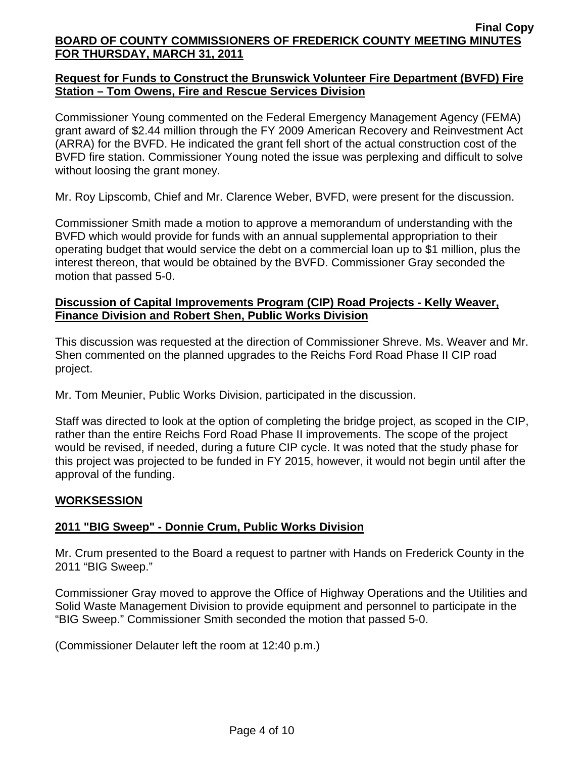## **Request for Funds to Construct the Brunswick Volunteer Fire Department (BVFD) Fire Station – Tom Owens, Fire and Rescue Services Division**

Commissioner Young commented on the Federal Emergency Management Agency (FEMA) grant award of \$2.44 million through the FY 2009 American Recovery and Reinvestment Act (ARRA) for the BVFD. He indicated the grant fell short of the actual construction cost of the BVFD fire station. Commissioner Young noted the issue was perplexing and difficult to solve without loosing the grant money.

Mr. Roy Lipscomb, Chief and Mr. Clarence Weber, BVFD, were present for the discussion.

Commissioner Smith made a motion to approve a memorandum of understanding with the BVFD which would provide for funds with an annual supplemental appropriation to their operating budget that would service the debt on a commercial loan up to \$1 million, plus the interest thereon, that would be obtained by the BVFD. Commissioner Gray seconded the motion that passed 5-0.

## **Discussion of Capital Improvements Program (CIP) Road Projects - Kelly Weaver, Finance Division and Robert Shen, Public Works Division**

This discussion was requested at the direction of Commissioner Shreve. Ms. Weaver and Mr. Shen commented on the planned upgrades to the Reichs Ford Road Phase II CIP road project.

Mr. Tom Meunier, Public Works Division, participated in the discussion.

Staff was directed to look at the option of completing the bridge project, as scoped in the CIP, rather than the entire Reichs Ford Road Phase II improvements. The scope of the project would be revised, if needed, during a future CIP cycle. It was noted that the study phase for this project was projected to be funded in FY 2015, however, it would not begin until after the approval of the funding.

## **WORKSESSION**

## **2011 "BIG Sweep" - Donnie Crum, Public Works Division**

Mr. Crum presented to the Board a request to partner with Hands on Frederick County in the 2011 "BIG Sweep."

Commissioner Gray moved to approve the Office of Highway Operations and the Utilities and Solid Waste Management Division to provide equipment and personnel to participate in the "BIG Sweep." Commissioner Smith seconded the motion that passed 5-0.

(Commissioner Delauter left the room at 12:40 p.m.)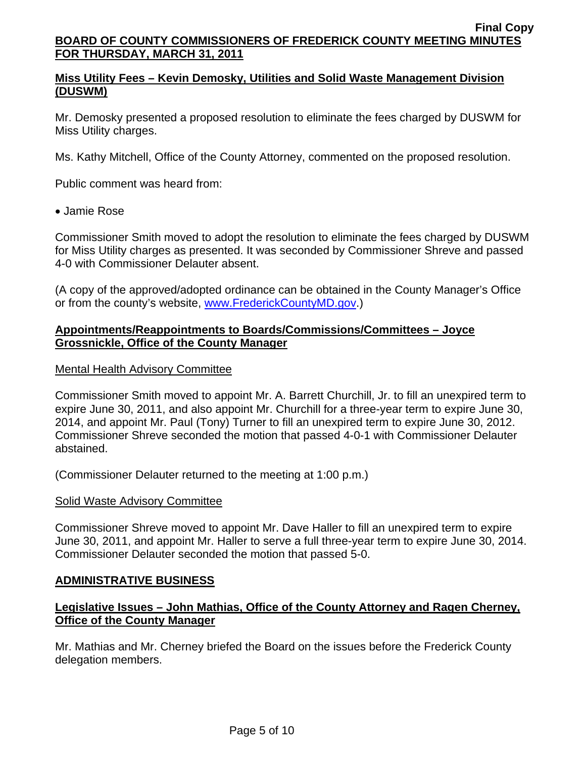## **Miss Utility Fees – Kevin Demosky, Utilities and Solid Waste Management Division (DUSWM)**

Mr. Demosky presented a proposed resolution to eliminate the fees charged by DUSWM for Miss Utility charges.

Ms. Kathy Mitchell, Office of the County Attorney, commented on the proposed resolution.

Public comment was heard from:

• Jamie Rose

Commissioner Smith moved to adopt the resolution to eliminate the fees charged by DUSWM for Miss Utility charges as presented. It was seconded by Commissioner Shreve and passed 4-0 with Commissioner Delauter absent.

(A copy of the approved/adopted ordinance can be obtained in the County Manager's Office or from the county's website, [www.FrederickCountyMD.gov](http://www.frederickcountymd.gov/).)

## **Appointments/Reappointments to Boards/Commissions/Committees – Joyce Grossnickle, Office of the County Manager**

## Mental Health Advisory Committee

Commissioner Smith moved to appoint Mr. A. Barrett Churchill, Jr. to fill an unexpired term to expire June 30, 2011, and also appoint Mr. Churchill for a three-year term to expire June 30, 2014, and appoint Mr. Paul (Tony) Turner to fill an unexpired term to expire June 30, 2012. Commissioner Shreve seconded the motion that passed 4-0-1 with Commissioner Delauter abstained.

(Commissioner Delauter returned to the meeting at 1:00 p.m.)

## Solid Waste Advisory Committee

Commissioner Shreve moved to appoint Mr. Dave Haller to fill an unexpired term to expire June 30, 2011, and appoint Mr. Haller to serve a full three-year term to expire June 30, 2014. Commissioner Delauter seconded the motion that passed 5-0.

# **ADMINISTRATIVE BUSINESS**

# **Legislative Issues – John Mathias, Office of the County Attorney and Ragen Cherney, Office of the County Manager**

Mr. Mathias and Mr. Cherney briefed the Board on the issues before the Frederick County delegation members.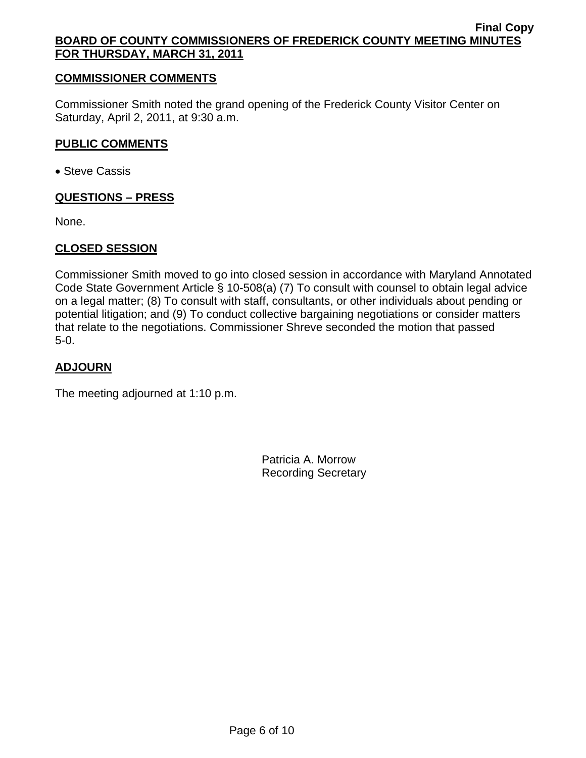### **COMMISSIONER COMMENTS**

Commissioner Smith noted the grand opening of the Frederick County Visitor Center on Saturday, April 2, 2011, at 9:30 a.m.

#### **PUBLIC COMMENTS**

• Steve Cassis

#### **QUESTIONS – PRESS**

None.

## **CLOSED SESSION**

Commissioner Smith moved to go into closed session in accordance with Maryland Annotated Code State Government Article § 10-508(a) (7) To consult with counsel to obtain legal advice on a legal matter; (8) To consult with staff, consultants, or other individuals about pending or potential litigation; and (9) To conduct collective bargaining negotiations or consider matters that relate to the negotiations. Commissioner Shreve seconded the motion that passed 5-0.

## **ADJOURN**

The meeting adjourned at 1:10 p.m.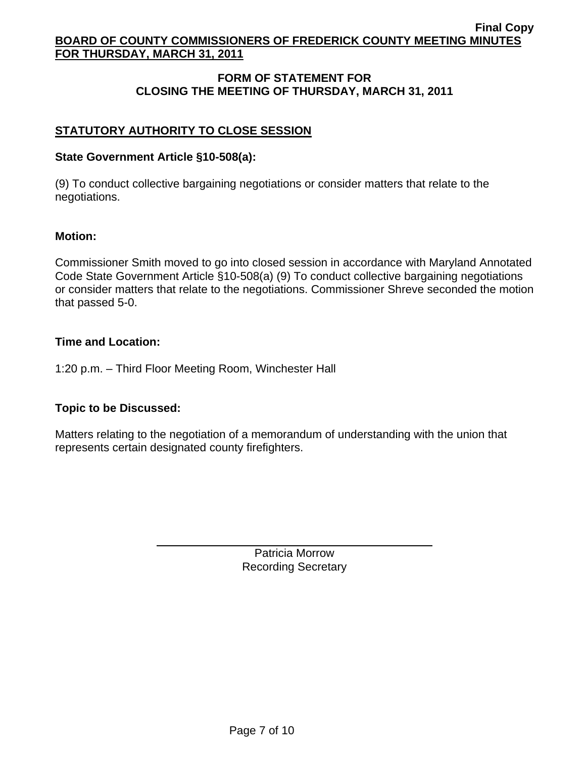# **FORM OF STATEMENT FOR CLOSING THE MEETING OF THURSDAY, MARCH 31, 2011**

# **STATUTORY AUTHORITY TO CLOSE SESSION**

## **State Government Article §10-508(a):**

(9) To conduct collective bargaining negotiations or consider matters that relate to the negotiations.

## **Motion:**

Commissioner Smith moved to go into closed session in accordance with Maryland Annotated Code State Government Article §10-508(a) (9) To conduct collective bargaining negotiations or consider matters that relate to the negotiations. Commissioner Shreve seconded the motion that passed 5-0.

## **Time and Location:**

1:20 p.m. – Third Floor Meeting Room, Winchester Hall

# **Topic to be Discussed:**

 $\overline{a}$ 

Matters relating to the negotiation of a memorandum of understanding with the union that represents certain designated county firefighters.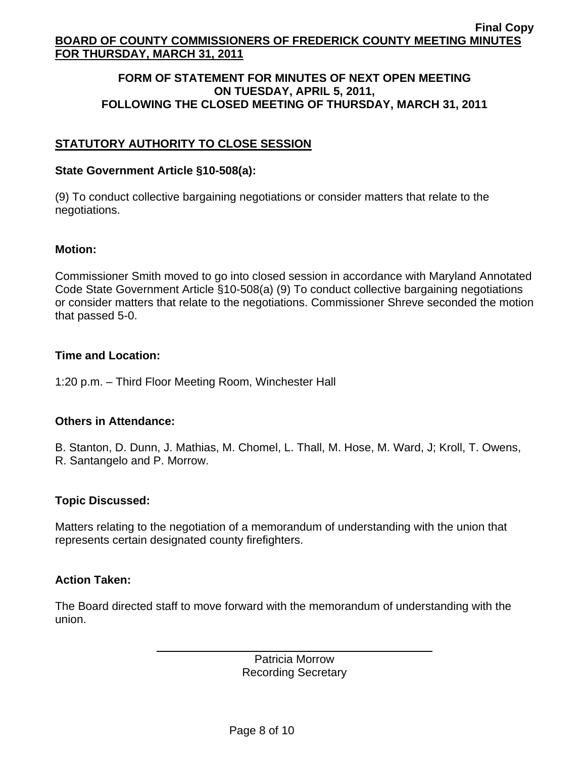### **FORM OF STATEMENT FOR MINUTES OF NEXT OPEN MEETING ON TUESDAY, APRIL 5, 2011, FOLLOWING THE CLOSED MEETING OF THURSDAY, MARCH 31, 2011**

# **STATUTORY AUTHORITY TO CLOSE SESSION**

### **State Government Article §10-508(a):**

(9) To conduct collective bargaining negotiations or consider matters that relate to the negotiations.

#### **Motion:**

Commissioner Smith moved to go into closed session in accordance with Maryland Annotated Code State Government Article §10-508(a) (9) To conduct collective bargaining negotiations or consider matters that relate to the negotiations. Commissioner Shreve seconded the motion that passed 5-0.

## **Time and Location:**

1:20 p.m. – Third Floor Meeting Room, Winchester Hall

## **Others in Attendance:**

B. Stanton, D. Dunn, J. Mathias, M. Chomel, L. Thall, M. Hose, M. Ward, J; Kroll, T. Owens, R. Santangelo and P. Morrow.

## **Topic Discussed:**

Matters relating to the negotiation of a memorandum of understanding with the union that represents certain designated county firefighters.

## **Action Taken:**

 $\overline{a}$ 

The Board directed staff to move forward with the memorandum of understanding with the union.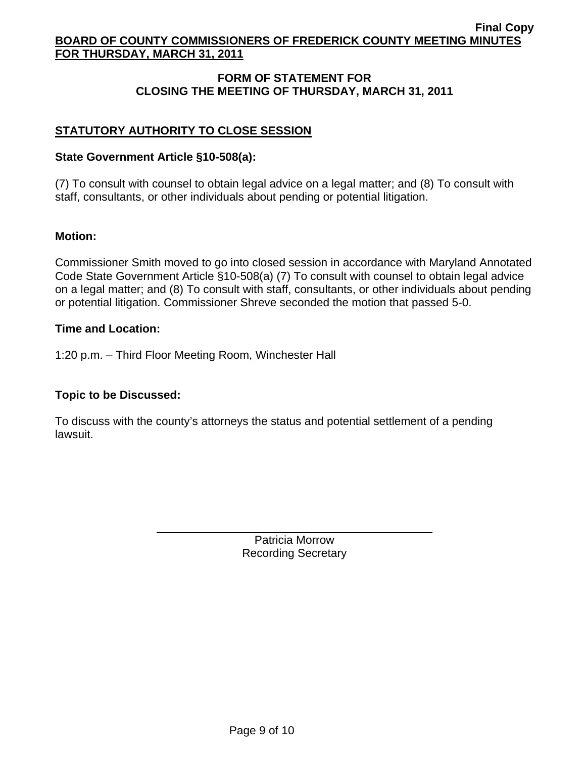# **FORM OF STATEMENT FOR CLOSING THE MEETING OF THURSDAY, MARCH 31, 2011**

# **STATUTORY AUTHORITY TO CLOSE SESSION**

## **State Government Article §10-508(a):**

(7) To consult with counsel to obtain legal advice on a legal matter; and (8) To consult with staff, consultants, or other individuals about pending or potential litigation.

## **Motion:**

Commissioner Smith moved to go into closed session in accordance with Maryland Annotated Code State Government Article §10-508(a) (7) To consult with counsel to obtain legal advice on a legal matter; and (8) To consult with staff, consultants, or other individuals about pending or potential litigation. Commissioner Shreve seconded the motion that passed 5-0.

## **Time and Location:**

1:20 p.m. – Third Floor Meeting Room, Winchester Hall

# **Topic to be Discussed:**

 $\overline{a}$ 

To discuss with the county's attorneys the status and potential settlement of a pending lawsuit.